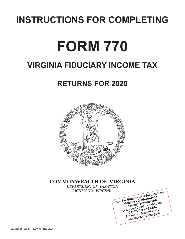# **INSTRUCTIONS FOR COMPLETING**

# **FORM 770**

## **VIRGINIA FIDUCIARY INCOME TAX**

## **RETURNS FOR 2020**



## **COMMONWEALTH OF VIRGINIA**

*DEPARTMENT OF TAXATION RICHMOND, VIRGINIA*

See Tax Bulletin 21-4 for details on **Virginia's Conformity to**<br> **Virginia's Conformity to**<br>
Internal Revenue Code<br>  $2020$  including<br>  $2020$  including<br>
CARES Act and CAA. **Internal Revenue Code** for tax year **2020** including the For more information visit **www.tax.virginia.gov.**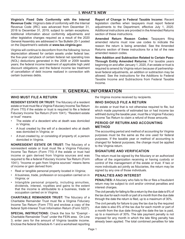**Virginia's Fixed Date Conformity with the Internal Revenue Code:** Virginia's date of conformity with the Internal Revenue Code (IRC) was advanced from December 31, 2018 to December 31, 2019, subject to certain exceptions. Additional information about conformity adjustments and other legislative changes required as a result of the 2020 General Assembly are addressed in Tax Bulletin 20-1 posted on the Department's website at **www.tax.virginia.gov**.

Virginia will continue to deconform from the following: bonus depreciation allowed for certain assets under federal law; the five-year carryback of certain federal net operating loss (NOL) deductions generated in the 2008 or 2009 taxable years; the federal income treatment of applicable high yield discount obligations; and the federal income tax treatment of cancellation of debt income realized in connection with certain business debts.

**Report of Change in Federal Taxable Income:** Recent legislation clarifies when taxpayers must report federal adjustments to the Department, effective July 1, 2020. Additional instructions are provided in the Amended Returns section of these instructions.

**Amended Return Reason Codes:** Taxpayers filing amended returns must now use codes to indicate the reason the return is being amended. See the Amended Returns section of these instructions for a list of the new amended reason codes.

**New Addition and Subtraction Related to Certain Pass-Through Entity Amended Returns:** For taxable years beginning on and after January 1, 2020, if an estate or trust is required to amend its Virginia return because of partnershiplevel federal adjustments, an addition or subtraction may be allowed. See the instructions for the Additions to Federal Taxable Income and Subtractions from Federal Taxable Income.

### **II. GENERAL INFORMATION**

#### **WHO MUST FILE A RETURN**

**RESIDENT ESTATE OR TRUST:** The fiduciary of a resident estate or trust must file a Virginia Fiduciary Income Tax Return (Form 770) if the estate or trust is required to file a federal Fiduciary Income Tax Return (Form 1041). "Resident estate or trust" means:

- The estate of a decedent who at death was domiciled in Virginia;
- A trust created by the will of a decedent who at death was domiciled in Virginia; or
- A trust created by, or consisting of property of, a person domiciled in Virginia.

**NONRESIDENT ESTATE OR TRUST:** The fiduciary of a nonresident estate or trust must file a Virginia Fiduciary Income Tax Return (Form 770) if the estate or trust had income or gain derived from Virginia sources and was required to file a federal Fiduciary Income Tax Return (Form 1041). "Income or gain from Virginia sources" means items of income or gain derived from:

- Real or tangible personal property located in Virginia;
- A business, trade, profession or occupation carried on in Virginia; or
- Intangible personal property, including annuities, dividends, interest, royalties and gains to the extent that the income is attributable to a business, trade or occupation carried on in Virginia.

**CHARITABLE REMAINDER TRUST:** The fiduciary of a Charitable Remainder Trust must file a Virginia Fiduciary Income Tax Return (Form 770) and enclose a copy of the federal Split-Interest Trust Information Return (Form 5227).

**SPECIAL INSTRUCTIONS:** Check the box for "Exempt - Charitable Remainder Trust" under the FEIN area. On Line 3, enter zero for the amount of Virginia taxable income. Enclose the federal Schedule K-1 and a worksheet reporting the Virginia income received by recipients.

#### **WHO SHOULD FILE A RETURN**

An estate or trust that is not otherwise required to file, but which made payments of estimated tax or had income tax withheld during the taxable year, must file a Virginia Fiduciary Income Tax Return to claim a refund of those amounts.

#### **PERIOD OF RETURN AND ACCOUNTING METHOD**

The accounting period and method of accounting for Virginia purposes must be the same as the one used for federal purposes. If the taxable year or method of accounting is changed for federal purposes, the change must be applied to the Virginia return.

#### **SIGNATURE AND VERIFICATION**

The return must be signed by the fiduciary or an authorized officer of the organization receiving or having custody or control of the management of the estate or trust. If two or more individuals act jointly as fiduciaries, the return may be signed by any one of those individuals.

#### **PENALTIES AND INTEREST**

**PENALTIES:** A fiduciary who fails to file or files a fraudulent return may be subject to civil and/or criminal penalties and interest charges.

The civil penalty for failing to file a return by the due date is 6% of the tax due for each month or part of a month from the due date through the date the return is filed, up to a maximum of 30%.

The civil penalty for failure to pay the tax due by the required due date is also 6% of the tax due for each month or part of a month from the due date through the date the tax is paid, up to a maximum of 30%. The late payment penalty is not imposed for any month in which the late filing penalty has already been applied. The total combined penalties for late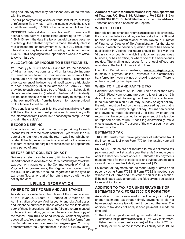filing and late payment may not exceed 30% of the tax due with the return.

The civil penalty for filing a false or fraudulent return, or failing or refusing to file any return with the intent to evade the tax, is an additional penalty of 100% of the correct amount of tax due.

**INTEREST:** Interest due on any tax and/or penalty will accrue at the daily rate established according to *Va. Code*  § 58.1‑15, from the date the tax or unpaid balance became due through the date that payment is made. The daily interest rate is the federal "underpayment rate," plus 2%. The current interest factor may be obtained by calling the Department at **804.367.8031** or going to the Department's website at **www. tax.virginia.gov**.

#### **ALLOCATION OF INCOME TO BENEFICIARIES**

*Va. Code* §§ 58.1-361 and 58.1‑363 require the allocation of Virginia modifications and Virginia taxable income to beneficiaries based on their respective share of the distributable net income of the estate or trust. A schedule or other statement of the income and modifications attributable to each beneficiary must be attached to Form 770 and provided to each beneficiary by the fiduciary on Schedule 5, Beneficiary's Information (Federal Schedule K-1 Equivalent). It is not acceptable to require the beneficiary to compute his or her own modification from the federal information provided on the federal Schedule K‑1.

If the beneficiaries will qualify for the credits available to Form 770 filers, the fiduciary must provide each beneficiary with the information from Schedule 5 necessary to compute and/ or claim the credit(s).

#### **RECORD KEEPING**

Fiduciaries should retain the records pertaining to each income tax return of the estate or trust for 3 years from the due date of the return or the date the return was filed, whichever is later. If the IRS extends the time required for the retention of federal records, the Virginia records should be kept for the same period of time.

#### **SETOFF DEBT COLLECTION ACT**

Before any refund can be issued, Virginia law requires the Department of Taxation to check for outstanding debts of the taxpayer with agencies of the Commonwealth of Virginia, Virginia local governments, the Virginia court system and the IRS. If any debts are found, regardless of the type of tax return filed, all or part of the refund may be withheld to satisfy the debt.

#### **III. FILING INFORMATION**

#### **WHERE TO GET FORMS AND ASSISTANCE**

Page 2 order forms from the Department of Taxation at **804.367.8031**. Assistance is available at the offices of the Commissioner of the Revenue, Director of Finance or Director of Tax Administration of every Virginia county and city. Addresses and telephone numbers for these offices are available at the back of these instructions. Since the Virginia return is based on federal information, you should have a complete copy of the federal Form 1041 on hand when you contact any of the above offices. You can download most Virginia tax forms from the Department's website: **www.tax.virginia.gov.** You may

**Address requests for information to Virginia Department of Taxation, P.O. Box 1115, Richmond, VA 23218-1115** or call **804.367.8031**. **Do NOT file the return at this address.**  Tenemos servicios disponible en Español.

#### **WHERE TO FILE**

Both original and amended returns are accepted electronically. If you are unable to file and pay electronically, Form 770 must be filed with the Commissioner of the Revenue, Director of Finance or Director of Tax Administration for the city or county in which the fiduciary qualified. If there has been no qualification in Virginia, the return should be filed with the Virginia city or county in which the fiduciary resides, does business, or has an office, or where one of the beneficiaries resides. The mailing addresses for the local offices are available at the back of these instructions.

Use the Department's website, **www.tax.virginia.gov**, to make a payment online. Payments are electronically transferred from your savings or checking account. There is no fee charged by the Department.

#### **WHEN TO FILE AND PAY THE TAX**

Calendar year filers must file Form 770 no later than May 1, 2021. Fiscal year returns are due no later than the 15th day of the 4th month following the close of the taxable year. If the due date falls on a Saturday, Sunday or legal holiday, the return must be filed by the next succeeding day that is not a Saturday, Sunday or legal holiday. Returns can be filed and payments made electronically. If filing by paper, the return must be accompanied by full payment of the tax due as reported on the return. If not filing electronically, make checks payable to the Treasurer of the city or county where the return is filed.

#### **ESTIMATED TAX**

**TRUSTS:** Trusts must make payments of estimated tax if the income tax liability on Form 770 for the taxable year will exceed \$150.

**ESTATES:** Estates are not required to make estimated tax payments until the first taxable year that ends 2 or more years after the decedent's date of death. Estimated tax payments must be made for that taxable year and subsequent taxable years if the income tax liability will exceed \$150.

Estimated tax payments can be made using eForms or on paper by using Form 770ES. If Form 770ES is needed, see "Where to Get Forms and Assistance" earlier in this section. If the estimated tax is underpaid, the fiduciary may be subject to an addition to tax.

#### **ADDITION TO TAX FOR UNDERPAYMENT OF ESTIMATED TAX, FORM 760C OR FORM 760F**

An addition to tax is assessed if the fiduciary did not pay enough estimated tax through timely payments or did not have enough income tax withheld throughout the year. The addition to tax does not apply if each payment is made on time and:

1. the total tax paid (including tax withheld and timely estimated tax paid) was at least 90% (66 2/3% for farmers, fishermen or merchant seamen) of the total 2020 tax liability or 100% of the income tax liability for 2019. To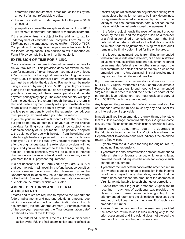determine if the requirement is met, reduce the tax by the amount of all nonrefundable credits;

- 2. the sum of installment underpayments for the year is \$150 or less; or
- 3. you qualify for one of the exceptions shown on Form 760C (Form 760F for farmers, fishermen or merchant seamen).

If the estate or trust is subject to the addition to tax for underpayment of estimated tax, complete Form 760C or 760F and pay the amount computed on Form 760C or 760F. Computation of the Virginia underpayment of tax is similar to the federal computation. The addition to tax is reported on Form 770 by completing Line 11 of Schedule 1.

#### **EXTENSION OF TIME FOR FILING**

You are allowed an automatic 6-month extension of time to file your tax return. This provision does not extend the due date for payment of taxes; however, you must pay at least 90% of your tax by the original due date for filing the return (May 1, 2021 for calendar year filers). Payments of tentative tax must be made by the due date. Payments can be made using eForms or by using **Form 770IP**. If you file your return during the extension period, but do not pay the tax due when you file your return, both the extension penalty and the late payment penalty may apply. The extension penalty will apply from the due date of the return through the date the return is filed and the late payment penalty will apply from the date the return is filed through the date of payment. To avoid paying the late payment penalty during the extension period, you must pay any tax owed **when you file the return**.

If you file your return within 6 months from the due date, but you do not pay at least 90% of your tax by the original due date for filing your return, you will be subject to an extension penalty of 2% per month. The penalty is applied to the balance of tax due with the return from the original due date through the date of payment. The maximum extension penalty is 12% of the tax due. If you file more than 6 months after the original due date, the extension provisions will not apply, and you will be subject to the late filing penalty. In addition to these penalties, you will be subject to interest charges on any balance of tax due with your return, even if you meet the 90% payment requirement.

It is not necessary to file Form 770IP if you are CERTAIN that your tax return will result in a refund because penalties are not assessed on a refund return; however, by law the Department of Taxation may issue a refund only if the return is filed within 3 years of the original due date or extended due date on the return, whichever is later.

#### **AMENDED RETURNS AND FEDERAL ADJUSTMENTS**

Estates and trusts are required to report to the Department federal adjustments and pay any additional amounts due within one year after the final determination date of such adjustments ("the one-year requirement"). For the purposes of the one-year requirement, the "final determination date" is defined as one of the following:

If the federal adjustment is the result of an audit or other action by the IRS, the final determination date is defined as

the first day on which no federal adjustments arising from that audit or other action remain to be finally determined. For agreements required to be signed by the IRS and the taxpayer, the final determination date is defined as the date on which the last party signed the agreement.

- If the federal adjustment is the result of an audit or other action by the IRS, and the taxpayer filed as a member of a Virginia combined or consolidated return, the final determination date is defined as the first day on which no related federal adjustments arising from that audit remain to be finally determined for the entire group.
- If the federal adjustment results from filing an amended federal return, a federal refund claim, or an administrative adjustment request or if it is a federal adjustment reported on an amended federal return or other similar report, the final determination date is defined as the day on which the amended return, refund claim, administrative adjustment request, or other similar report was filed.

If you are an owner of a partnership and receive Form 502FED-1, Virginia Partnership-Level Federal Adjustments Report, from the partnership and need to file an amended Virginia return in order to report the distributive share of the partnership-level adjustment, you must enclose a copy of Form 502FED-1 with the amended return.

Any taxpayer filing an amended federal return must also file an amended state return and must pay any additional tax and interest due, if applicable.

In addition, if you file an amended return with any other state that results in a change that would affect your Virginia income tax, you must file an amended Virginia tax return within 1 year.

If the changes or adjustments result in a decrease in the fiduciary's income tax liability, Virginia law allows the Department of Taxation to issue a refund only if the amended return is filed within:

- 3 years from the due date for filing the original return, including filing extensions;
- 1 year from the final determination date for the amended federal return or federal change, whichever is later, provided the refund requested is attributable only to such change or adjustment;
- 1 year from the final determination of the amended return of any other state or change or correction in the income tax of the taxpayer for any other state, provided that the refund does not exceed the amount of the decrease in Virginia tax attributable to such change or correction;
- 2 years from the filing of an amended Virginia return resulting in payment of additional tax, provided the claim for refund raises issues pertaining solely to the prior amended return and the claim does not exceed the amount of additional tax paid as a result of such prior amended return; or
- 2 years from the payment of an assessment, provided the amended return raises issues relating only to the prior assessment and the refund does not exceed the amount of tax paid on the prior assessment.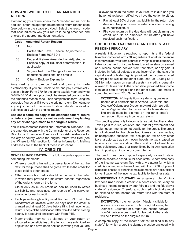#### **HOW AND WHERE TO FILE AN AMENDED RETURN**

If amending your return, check the "amended return" box. In addition, enter the appropriate amended return reason code (see below) in the space provided. Select the reason code that best indicates why your return is being amended and enclose the appropriate documentation.

| Code | <b>Amended Return Reason</b>                                                                      |
|------|---------------------------------------------------------------------------------------------------|
| 01   | NOL                                                                                               |
| 02   | Partnership Level Federal Adjustment -<br>Enclose Form 502FED-1                                   |
| 03   | Federal Return Amended or Adjusted -<br>Enclose copy of IRS final determination, if<br>applicable |
| 04   | Virginia Return – Changes to subtractions,<br>deductions, additions, and credits                  |
| 30   | Other - Enclose Explanation                                                                       |

Amended returns can be filed and payments made electronically. If you are unable to file and pay electronically, obtain a blank Form 770 for the same taxable year and write "AMENDED" at the top or check the Amended box and enter the amended reason code. Then complete the form using the corrected figures as if it were the original return. Do not make any adjustments to the return to show refunds received or balances paid with the original return.

#### **Enclose a complete copy of the amended federal return or federal adjustments, as well as a statement explaining any other changes made to the Virginia return.**

You will be contacted if additional information is needed. File the amended return with the Commissioner of the Revenue, Director of Finance or Director of Tax Administration for the city or county where the original return was filed (see the "Where to File" section for further information). Mailing addresses are at the back of these instructions.

#### **IV. CREDITS**

**GENERAL INFORMATION:** The following rules apply when computing tax credits:

- Where a credit is limited to a percentage of the tax, the "tax" for this purpose shall be gross tax, less the credit for taxes paid to other states.
- Other income tax credits should be claimed in the order in which they provide the maximum benefit, regardless of the order shown on the form.
- Claim only as much credit as can be used to offset tax liability and keep accurate records of the carryover available for each credit.
- Each pass-through entity must file Form PTE with the Department of Taxation within 30 days after the credit is granted and at least 60 days before filing their income tax return. A copy of the certification letter from the administering agency is a required enclosure with Form PTE.
- Many credits may not be claimed on your return or allocated to beneficiaries until after you have submitted an application and have been notified in writing that you are

allowed to claim the credit. If your return is due and you have not yet been notified, you have the option to either:

- Pay at least 90% of your tax liability by the return due date and file your return on extension after receiving such notification, or
- File your return by the due date without claiming the credit, and file an amended return after you have received such notification.

#### **CREDIT FOR TAX PAID TO ANOTHER STATE RESIDENT FIDUCIARY:**

A resident fiduciary is required to report its entire federal taxable income on Form 770, regardless of whether the entire income was derived from sources in Virginia. If the fiduciary is liable for payment of income taxes to another state on earned or business income derived from that state, or any gain (if included in federal adjusted gross income) on the sale of a capital asset outside Virginia, provided the income is taxed by Virginia as well as the other state (see *Va. Code* § 58.1- 332 for information on capital assets), a credit is generally allowed for taxes paid to the other state, provided the income is taxable both to Virginia and the other state. The credit is computed on Form 770, Schedule 4.

**EXCEPTION:** A Virginia fiduciary deriving business income as a nonresident in Arizona, California, the District of Columbia or Oregon may **not** claim a credit on the Virginia return for taxes paid to those states. The credit must be claimed on the other state's nonresident fiduciary income tax return.

This credit applies only to income taxes paid to other states. Taxes paid to cities, counties, the federal government and foreign governments do not qualify for the credit. The credit is not allowed for franchise tax, license tax, excise tax, unincorporated business tax, occupation tax or any other tax characterized as such, even though the tax is based on *business* income. In addition, the credit is not allowable for taxes paid to any state that is prohibited by its own legislation from imposing an income or commuter tax.

The credit must be computed separately for each state. Enclose separate schedule for each state. A complete copy of the income tax return filed with any state(s) for which a credit is claimed must be enclosed with Form 770. Copies of cancelled checks or other income statements are not sufficient for verification of the income tax liability to the other state.

**NONRESIDENT FIDUCIARY:** As a general rule, Virginia law does **not** provide a credit to a nonresident fiduciary on business income taxable by both Virginia and the fiduciary's state of residence. Therefore, such credits typically must be claimed on the income tax return filed with the state of residence.

*EXCEPTION:* If the nonresident fiduciary is liable for income taxes as a resident of Arizona, California, the District of Columbia or Oregon on income derived from Virginia sources, credit for tax paid to that state will be allowed on the Virginia return.

A complete copy of the income tax return filed with any state(s) for which a credit is claimed must be enclosed with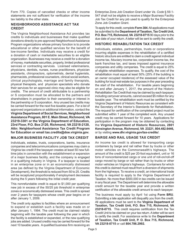Form 770. Copies of cancelled checks or other income statements are not sufficient for verification of the income tax liability to the other state.

#### **NEIGHBORHOOD ASSISTANCE ACT TAX CREDIT**

The Virginia Neighborhood Assistance Act provides tax credits to individuals and businesses that make qualified donations directly to pre-approved Neighborhood Assistance Program organizations whose primary function is to provide educational or other qualified services for the benefit of low-income families. Individuals may receive a credit for a donation of cash or marketable securities to an eligible organization. Businesses may receive a credit for a donation of money, marketable securities, property, limited professional services or contracting services. Licensed veterinarians, physicians, dentists, nurses, nurse practitioners, physician assistants, chiropractors, optometrists, dental hygienists, pharmacists, professional counselors, clinical social workers, clinical psychologists, marriage and family therapists, physical therapists, and physician specialists who donate their services for an approved clinic may also be eligible for credits. The amount of credit attributable to a partnership or S corporation must be allocated to the partners and shareholders in proportion to their ownership or interest in the partnership or S corporation. Any unused tax credits may be carried forward for the next five taxable years. For a list of approved organizations or additional information, contact the **Virginia Department of Social Services, Neighborhood Assistance Program, 801 E. Main Street, Richmond, VA 23219-3301 or the Virginia Department of Education, 23rd Floor, P.O. Box 2120, Richmond, VA 23218-2120, Attn: Neighborhood Assistance Tax Credit Program for Education or email tax.credits@doe.virginia.gov.**

#### **MAJOR BUSINESS FACILITY JOB TAX CREDIT**

Individuals, estates, trusts, corporations, banks, insurance companies and telecommunications companies may claim a Virginia tax credit if the taxpayer creates at least 50 new fulltime jobs in connection with the establishment or expansion of a major business facility, and the company is engaged in a qualifying industry in Virginia. If a taxpayer is located in an enterprise zone or in an economically distressed area (as defined by the Virginia Department of Economic Development), the threshold is reduced from 50 to 25. Credits will be recaptured proportionately if employment decreases during the 5 years following the initial credit year.

This nonrefundable credit is equal to \$1,000 per qualifying new job in excess of the 50/25 job threshold in enterprise zones or economically distressed areas. This credit is spread over 2 years for taxpayers whose credit year begins on or after January 1, 2009.

The credit only applies to facilities where an announcement to expand or establish such a facility was made on or after January 1, 1994. The credit must be claimed ratably beginning with the taxable year following the year in which the facility is established or expanded, or the new qualifying jobs are added. Unused credits may be carried forward for the next 10 taxable years. A qualified business firm receiving an

Enterprise Zone Job Creation Grant under *Va. Code* § 59.1- 547 shall not be eligible to receive a Major Business Facility Job Tax Credit for any job used to qualify for the Enterprise Zone Job Creation Grant.

To apply for this credit, complete **Form 304**. All applications must be submitted to the **Department of Taxation, Tax Credit Unit, P.O. Box 715, Richmond, VA 23218-0715** 90 days prior to the due date of your return. A letter will be sent to certify the credit.

#### **HISTORIC REHABILITATION TAX CREDIT**

Individuals, estates, partnerships, trusts or corporations incurring eligible expenses in the rehabilitation of a certified historic structure are entitled to claim a credit against individual income tax, fiduciary income tax, corporation income tax, the bank franchise tax, and taxes imposed against insurance companies and utility companies. The credit is equal to 25% of eligible rehabilitation expenses. To qualify, the cost of the rehabilitation must equal at least 50% (25% if the building is an owner occupied residence) of the assessed value of the building for local real estate tax purposes in the year preceding the start of the rehabilitation. For taxable years beginning on and after January 1, 2017, the amount of the Historic Rehabilitation Tax Credit that may be claimed by each taxpayer, including carryover amounts, cannot exceed \$5 million for any taxable year. The rehabilitation work must be certified by the Virginia Department of Historic Resources as consistent with the Secretary of the Interior's Standards for Rehabilitation. The request for certification of the completed project must be submitted within 1 year of the completed work. Any unused credit may be carried forward for 10 years. Applications for participation in the program may be obtained by contacting the **Virginia Department of Historic Resources, 2801 Kensington Avenue, Richmond, VA 23221, 804.482.6446,**  or by visiting **www.dhr.virginia.gov/tax-credits/**.

#### **BARGE AND RAIL USAGE TAX CREDIT**

An income tax credit is allowed for transporting cargo containers by barge and rail rather than by trucks or other motor vehicles on the Commonwealth's highways. The amount of the credit is \$25 per 20-foot equivalent, unit or 16 tons of noncontainerized cargo or one unit of roll-on/roll-off cargo moved by barge or rail rather than by trucks or other motor vehicles on Virginia's highways. Containers for which this credit is claimed must result from a diversion of shipments from the highways. To receive a credit, an international trade facility is required to apply to the Virginia Department of Taxation. No more than \$500,000 in tax credits can be issued in any fiscal year. The Department will determine the allowable credit amount for the taxable year and provide a written certification of the allowable credit amount to each taxpayer.

The business must apply by April 1st using **Form BRU**. Submitting a late application will disqualify you from the credit. All applications must be sent to the **Virginia Department of Taxation, Tax Credit Unit, P.O. Box 715, Richmond, VA 23218-0715.** This credit requires certification from the Tax Credit Unit to be claimed on your tax return. A letter will be sent to certify the credit. For assistance write to the **Department of Taxation, Tax Credit Unit, P. O. Box 715, Richmond, VA 23218-0715** or call **804.786.2992.**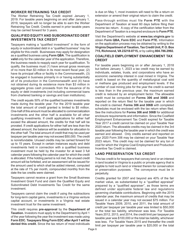#### **WORKER RETRAINING TAX CREDIT**

The Worker Retraining Tax Credit expired January 1, 2019. For taxable years beginning on and after January 1, 2019, taxpayers will no longer be able to earn the Worker Retraining Tax Credit. Credits earned in prior taxable years may be carried forward for 3 years.

#### **QUALIFIED EQUITY AND SUBORDINATED DEBT INVESTMENTS TAX CREDIT**

Taxpayers making a "qualified investment" in the form of equity or subordinated debt in a "qualified business" may be eligible for this credit. Businesses may apply for designation as a qualified business using **Form QBA**. The qualification is **valid** only for the calendar year of the application. Therefore, the business needs to reapply each year for qualification. To qualify, the business must (1) have annual gross revenues of no more than \$3 million in its most recent fiscal year, (2) have its principal office or facility in the Commonwealth, (3) be engaged in business primarily in or having substantially all of its production in the Commonwealth and (4) have not obtained during its existence more than \$3 million in aggregate gross cash proceeds from the issuance of its equity or debt investments (not including commercial loans from chartered banking or savings and loan institutions).

The credit equals 50% of the qualified business investments made during the taxable year. For the 2019 taxable year the total amount of credit granted is limited to \$5 million. One-half of this amount must be allocated to commercialization investments and the other half is available for all other qualifying investments. If credit applications for either half exceed the allowed amount, the credits for that half will be prorated. If credit applications for either half are less than the allowed amount, the balance will be available for allocation to the other half. The total amount of credit that may be used per taxpayer per taxable year may not exceed \$50,000. The credit is nonrefundable. Unused credits may be carried forward for up to 15 years. Except in certain instances equity and debt investments held in connection with a qualified business investment must be held by the investor for at least 3 full calendar years following the calendar year for which the credit is allocated. If the holding period is not met, the unused credit amount will be forfeited, and an assessment will be issued for the amount used to which shall be added interest, computed at the rate of 1% per month, compounded monthly from the date the tax credits were claimed.

Taxpayers cannot receive a grant from the Small Business Investment Grant Fund and claim the Qualified Equity and Subordinated Debt Investments Tax Credit for the same investment.

Taxpayers cannot claim the credit if using the subtractions for long-term capital gains, investments in a Virginia venture capital account, or investments in a Virginia real estate investment trust for the same investment.

This credit requires **pre-approval** by the **Department of Taxation.** Investors must apply to the Department by April 1 of the year following the year the investment was made using **Form EDC. Taxpayers filing Form EDC after April 1 will be denied this credit.** Since the tax return of most individuals

is due on May 1, most investors will need to file a return on extension or amend their original return to claim the credit.

Pass-through entities must file **Form PTE** with the Department of Taxation at least 60 days before filing their income tax return. A copy of the certification letter from the Department of Taxation is a required enclosure to **Form PTE**.

Visit the Department's website at **www.tax.virginia.gov** to obtain **Form QBA, Form EDC** and **Form PTE.** Information on the application process may be obtained by writing to the **Virginia Department of Taxation, Tax Credit Unit, P. O. Box 715, Richmond, VA 23218-0715,** or by calling **804.786.2992.**

#### **COALFIELD EMPLOYMENT ENHANCEMENT TAX CREDIT**

For taxable years beginning on or after January 1, 2018 but before January 1, 2023 a tax credit may be earned by individuals, estates, trusts, and corporations who have an economic ownership interest in coal mined in Virginia. The credit is based on the quantity of metallurgical coal sold or methane gas produced and employment levels. If the number of coal mining jobs for the year the credit is earned is less than in the previous year, the maximum earned credit is reduced by an employment factor. The allowable credit must be computed on **Forms 306 and 306B** and reported on the return filed for the taxable year in which the credit is claimed. **Forms 306 and 306B** with completed schedules must be enclosed with the tax return when filed. See the instructions for **Forms 306 and 306B** for additional enclosure requirements and information. Since the Coalfield Employment Enhancement Tax Credit expired for Taxable Year 2017 a credit cannot be claimed on your Taxable Year 2020 return. The allowable credits may be claimed in the 3rd taxable year following the taxable year in which the credit was earned and allowed. Only credits earned and reported on your 2020 Form 306 may be claimed on your Taxable Year 2023 return. This credit may not be claimed for any ton of coal for which the Virginia Coal Employment and Production Incentive Tax Credit is claimed.

#### **LAND PRESERVATION TAX CREDIT**

This tax credit is for taxpayers that convey land or an interest in land located in Virginia to a public or private agency that is eligible to hold such land or interest therein for conservation or preservation purposes. The conveyance must be in perpetuity.

Credits granted for 2007 and beyond are 40% of the fair market value, as substantiated by a "qualified appraisal" prepared by a "qualified appraiser", as those terms are defined under applicable federal law and regulations governing charitable contributions. Beginning with the 2015 calendar year, the maximum amount of credits that may be issued in a calendar year may not exceed \$75 million. For Taxable Years 2009, 2010, and 2011, the total amount of credit per taxpayer per taxable year was limited to \$50,000 or the total tax liability, whichever was less. For Taxable Years 2012, 2013, and 2014, the credit limit per taxpayer per taxable year was \$100,000 or the total tax liability, whichever was less. For Taxable Years 2015 and thereafter the credit limit per taxpayer per taxable year is \$20,000 or the total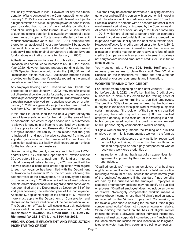tax liability, whichever is less. However, for any fee simple donation of land conveyed to the Commonwealth on or after January 1, 2015, the amount of the credit claimed is subject to a higher limitation of \$100,000 per taxpayer for each taxable year, provided that no part of the charitable contributions deduction under § 170 of the Internal Revenue Code related to such fee simple donation is allowable by reason of a sale or exchange of property. For taxpayers affected by the credit reductions for taxable years 2009, 2010, 2011, and 2015 and thereafter, an additional 3-year carryforward will be added to the credit. Any unused credit not affected by the carryforward periods will retain the original carryforward periods (10 years for donations originating on or after January 1, 2007).

At the time these instructions went to publication, the annual limitation was scheduled to increase to \$50,000 for Taxable Year 2020. However, budget language pending during the 2020 Special Session would retain the \$20,000 annual limitation for Taxable Year 2020. Additional information will be provided on the Department's website regarding the annual limitation when it becomes available.

Any taxpayer holding Land Preservation Tax Credits that originated on or after January 1, 2002, may transfer unused but otherwise allowable credits for use by another taxpayer on such taxpayer's Virginia income tax return. Transfers and passthrough allocations derived from donations recorded on or after January 1, 2007, are generally subject to a fee. See Schedule A of Form LPC-1 or Form LPC-2 for further information.

If this credit is taken, then for the next 3 years taxpayers cannot take a subtraction for the gain on the sale of land or easements dedicated to open-space use. A subtraction is allowed for any gain or income recognized by a taxpayer on the application of a Land Preservation Tax Credit against a Virginia income tax liability to the extent that the gain is included in and not otherwise subtracted from federal adjusted gross income. The transfer of the credit and its application against a tax liability shall not create gain or loss for the transferor or the transferee.

Before claiming the credit, complete and file Form LPC-1 and/or Form LPC-2 with the Department of Taxation at least 90 days before filing an annual return. For land or an interest in land conveyed before January 1, 2020, no credit will be allowed unless a completed credit application with regard to such conveyance has been filed with the Department of Taxation by December 31 of the 3rd year following the calendar year of the conveyance. For a conveyance made on or after January 1, 2020, no credit will be allowed unless a completed credit application with regard to such conveyance has been filed with the Department by December 31 of the 2nd year following the calendar year of the conveyance. Additionally, applicants filing for tax credits of \$1 million or more must apply to the Department of Conservation and Recreation to receive verification of the conservation value. The Department of Taxation will issue a letter acknowledging the amount of the credit. For assistance write to the **Virginia Department of Taxation, Tax Credit Unit, P. O. Box 715, Richmond, VA 23218-0715**, or call **804.786.2992**.

#### **VIRGINIA COAL EMPLOYMENT AND PRODUCTION INCENTIVE TAX CREDIT**

This credit may be allocated between a qualifying electricity generator and qualifying person with an economic interest in coal. The allocation of this credit may not exceed \$3 per ton. Credits allocated to persons with an economic interest in coal may be used against any tax imposed by the Commonwealth. All credits earned on or after January 1, 2006, or prior to July 1, 2016, which are allocated to persons with an economic interest in coal were refundable if the credits exceeded the taxpayer's state tax liability for the applicable taxable year. However, effective for credits earned on or after July 1, 2016, persons with an economic interest in coal that receive an allocation of credits may no longer receive a refund of such credits. Such persons with an economic interest in coal may not carry forward unused amounts of credits for use in future taxable years.

You must complete **Forms 306, 306B**, **306T** and any necessary enclosures to claim this credit. See "What to Enclose" on the instructions for Forms 306 and 306B for additional enclosure requirements and information.

#### **WORKER TRAINING TAX CREDIT**

For taxable years beginning on and after January 1, 2019, but before July 1, 2022, the Worker Training Credit allows businesses to claim a tax credit for the training costs of providing eligible worker training to qualified employees. The credit is 35% of expenses incurred by the business during the taxable year for eligible worker training, subject to certain limitations. If the recipient of the training is a qualified employee, the credit may not exceed \$500 per qualified employee annually. If the recipient of the training is a nonhighly compensated worker, the credit may not exceed \$1,000 per non-highly compensated worker annually.

"Eligible worker training" means the training of a qualified employee or non-highly compensated worker in the form of:

- credit or noncredit courses at any institution recognized on the Eligible Training Provider List that results in the qualified employee or non-highly compensated worker receiving a workforce credential; or
- instruction or training that is part of an apprenticeship agreement approved by the Commissioner of Labor and Industry.

"Qualified employee" means an employee of a business eligible for a credit under this section in a full-time position requiring a minimum of 1,680 hours in the entire normal year of the business' operations if the standard fringe benefits are paid by the business for the employee. Employees in seasonal or temporary positions may not qualify as qualified employees. "Qualified employee" does not include an owner or relative. "Non-highly compensated worker" means a worker whose income is less than Virginia's median wage, as reported by the Virginia Employment Commission, in the taxable year prior to applying for the credit. "Non-highly compensated worker" does not include an owner or relative. When claiming this credit on the basis of eligible worker training, the credit is allowable against individual income tax, estate and trust tax, corporate income tax, bank franchise tax, insurance premiums license tax, and license tax on telegraph, telephone, water, heat, light, power, and pipeline companies.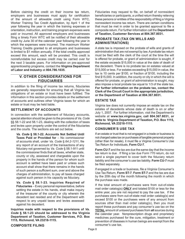Before claiming the credit on their income tax return, employers and businesses must apply for certification of the amount of allowable credit using Form WTC, Worker Training Tax Credit Application, by April 1 of the year following the year in which the training expenses or orientation, instruction, and training program expenses were paid or incurred. All approved employers and businesses filing a timely Form WTC will be notified of their allowable credit by June 30 of the calendar year following the year in which the expenses were incurred. The maximum Worker Training Credits granted to all employers and businesses is limited to \$1 million annually. If the total credits approved exceed this amount, each will be prorated. This credit is nonrefundable but excess credit may be carried over for the next 3 taxable years. For information on pre-approved apprenticeship programs, contact the **Virginia Department of Labor and Industry** at **804.786.1035**.

#### **V. OTHER CONSIDERATIONS FOR FIDUCIARIES**

In addition to the filing of income tax returns, fiduciaries are generally responsible for ensuring that all Virginia tax obligations of an estate or trust have been fulfilled. The information in this section provides details on the settlement of accounts and outlines other Virginia taxes for which an estate or trust may be held liable.

#### **SETTLEMENT OF ACCOUNTS**

In connection with the settlement of fiduciary accounts, special attention should be given to the provisions of *Va. Code*  §§ 58.1-22 and 58.1-23, dealing with the collection of taxes and levies upon property under the control of the fiduciaries and the courts. The sections are set out below.

*Va. Code* **§ 58.1-22. Accounts Not Settled Until Taxes Paid or Provided for - No commissioner** of accounts shall, under *Va. Code* § *64.2-1211*, file any report of an account of the transactions of any fiduciary not governed by *Va. Code* § 58.1-911 until the commissioner finds that all taxes, whether state, county or city, assessed and chargeable upon the property in the hands of the person for whom such account is settled have been paid or unless such account shall show that there remains in the hands of such person a sufficient sum, over and above the charges of administration, to pay all taxes charged against such person in his capacity as fiduciary.

*Va. Code* **§ 58.1-23. Inquiries Required of Fiduciaries** – Every personal representative, before settling the estate in his hands, shall make inquiry of the treasurer of the county or city wherein the decedent last resided and of the Department with respect to any unpaid taxes and levies assessed against his decedent.

**Inquiries made with respect to the provisions of** *Va. Code* **§ 58.1-23 should be addressed to the Virginia Department of Taxation, Customer Services, P.O. Box 1115, Richmond, VA 23218-1115.**

Fiduciaries may request to file, on behalf of nonresident beneficiaries or participants, a unified return thereby relieving these persons or entities of the responsibility of filing a Virginia nonresident income tax return. There are certain conditions that must be met in order to be granted approval to file a composite return. For further information call the **Department of Taxation, Customer Services at 804.367.8031.**

#### **PROBATE TAX (TAX ON WILLS AND ADMINISTRATIONS)**

A state tax is imposed on the probate of wills and grants of administration that are not exempt by law. A probate tax return must be filed with the clerk of the court at the time the will is offered for probate, or grant of administration is sought, if the estate exceeds \$15,000 in value at the date of death of the decedent. There is no probate tax on estates valued at \$15,000 or less. For estates exceeding \$15,000 in value, the tax is 10 cents per \$100, or fraction of \$100, including the first \$15,000. In addition, the county or city in which the will is offered for probate, or grant of administration is sought, may also impose a local probate tax equal to 1/3 of the state tax. **For further information on the probate tax, contact the Clerk of the Circuit Court in the appropriate jurisdiction, or the Department of Taxation at 804.367.8031.**

#### **ESTATE TAX**

Virginia law does not currently impose an estate tax on the estates of decedents whose date of death is on or after July 1, 2007. For further information, visit the Department's website at **www.tax.virginia.gov, call 804.367.8031, or write to Virginia Department of Taxation, P.O. Box 1115, Richmond, VA 23218-1115.**

#### **CONSUMER'S USE TAX**

If an estate or trust that is not engaged in a trade or business is not charged sales tax on purchases of tangible personal property (other than for resale), it must file a Virginia Consumer's Use Tax Return for Individuals, **Form CU-7**.

**Form CU-7** and the tax are due the same day that the income tax return is due . If filing a tax due Form 770 return, do not send a single payment to cover both the fiduciary return liability and the consumer's use tax liability. **Form CU-7** must be filed separately.

If engaged in a trade or business, file a Virginia Consumer's Use Tax Return, **Form ST-7**. **Form ST-7** and the tax are due by the 20th day of the month following the month in which the purchase was made.

If the total amount of purchases were from out-of-state mail order catalog(s) **ONLY** and totaled \$100 or less for the entire year, you are not required to pay the use tax. If the purchases were from out-of-state mail order catalog(s) and exceed \$100 or the purchases were of any amount from sources other than mail order catalog(s), then you must report these purchases and pay consumer's use tax on the **TOTAL** amount of *untaxed* purchases from **all** sources during the calendar year. Nonprescription drugs and proprietary medicines purchased for the cure, mitigation, treatment or prevention of diseases in human beings are exempt from the consumer's use tax.

#### **COMPOSITE FILING**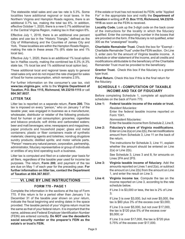The statewide retail sales and use tax rate is 5.3%. Some localities have additional regional or local taxes. In the Northern Virginia and Hampton Roads regions, there is an additional 0.7% tax, making the total tax 6%. In addition, effective October 1, 2020, there is a new 0.7% additional tax in the Central Virginia Region, making tax in that region 6%.

Effective July 1, 2018, there is an additional one percent sales and use tax in the "Historic Triangle," defined as the City of Williamsburg and the Counties of James City and York. These localities are within the Hampton Roads Region, making the rate in these areas 7% (6% state tax and 1% local tax).

Effective July 1, 2020, there is an additional 1% local option tax in Halifax county, making the combined tax 6.3% (4.3% state tax, 1% local tax and 1% additional local option tax).

These additional local and regional taxes apply to general retail sales only and do not impact the rate charged for sales of food for home consumption, which remains 2.5%.

For further information on the consumer's use tax, visit **www.tax.virginia.gov**, write to the **Virginia Department of Taxation, P.O. Box 1115, Richmond, VA 23218-1115** or call **804.367.8037**.

#### **LITTER TAX**

Litter tax is reported on a separate return, **Form 200.** This tax is imposed on every "person," who on January 1 of the taxable year, was engaged in business as a manufacturer, wholesaler, distributor or retailer of the following products: food for human or pet consumption; groceries; cigarettes and tobacco products; soft drinks and carbonated waters; beer and malt beverages; wine; newspapers and magazines; paper products and household paper; glass and metal containers; plastic or fiber containers made of synthetic materials; cleaning agents and toiletries; nondrug drugstore sundry products; distilled spirits; and motor vehicle parts. "Person" means any natural person, corporation, partnership, administrator, fiduciary representative or group of individuals or entities of any kind operating such a business.

Litter tax is computed and filed on a calendar year basis for all filers, regardless of the taxable year used for income tax purposes. The return, **Form 200**, and payment of the tax are due on May 1 of each year for the preceding year. **For further information on litter tax, contact the Department of Taxation at 804.367.8037.** 

#### **VI. LINE BY LINE INSTRUCTIONS**

#### **FORM 770 - PAGE 1**

Complete the information in the sections at the top of Form 770. If this return is for a period other than January 1 to December 31 of the taxable year shown on your return, indicate the fiscal beginning and ending dates in the space provided. The taxable period of your Virginia return must be the same as that of your federal return. It is important that the name, address and Federal Employer Identification Number (FEIN) are entered correctly. **Do NOT use the decedent's social security number or the preparer's FEIN as the estate's or trust's FEIN.**

If the estate or trust has not received its FEIN, write "Applied For" in the appropriate box and notify the **Department of Taxation** in writing at **P. O. Box 1115, Richmond, VA 23218- 1115** as soon as the FEIN is received.

**Locality Code.** Look up the 3-digit code on the back cover of the instructions for the locality in which the fiduciary qualified. Enter the corresponding number in the boxes that are provided on the form. If the fiduciary is not qualified, enter 300 as the "unassigned" locality.

**Charitable Remainder Trust.** Check the box for "Exempt - Charitable Remainder Trust" under the FEIN section. On Line 3, enter zero for the amount of Virginia taxable income. A schedule or other statement of the income, and all credits and modifications attributable to the beneficiary of the Charitable Remainder Trust must be provided to the beneficiary.

**Grantor Trust.** Check this box if the fiduciary is a grantor type trust.

**Final Return.** Check this box if this is the final return for the fiduciary.

#### **SCHEDULE 1 - COMPUTATION OF TAXABLE INCOME AND TAX OF FIDUCIARY**

Before completing Schedule 1, complete all applicable schedules on the back of Form 770.

- **Line 1: Federal taxable income of the estate or trust.**  *Resident fiduciaries:* Enter the federal taxable income reported on Form 1041.  *Nonresident fiduciaries:* Enter the taxable income from Schedule 2, Line 8.
- **Line 2: Fiduciary's share of Virginia modifications**. Enter on Line 2(a) or Line 2(b), the net modifications amount from Schedule 3, Line 11 on the back of the return.

The instructions for Schedule 3, Line 11, explain whether the amount should be entered on Line 2(a) or Line 2(b).

See Schedule 3, Lines 3 and 8, for amounts on Lines 2FA and 2FS.

- **Line 3: Virginia taxable income of fiduciary**. Add the amounts reported on Lines 1 and 2(a), or subtract the amount on Line 2(b) from the amount on Line 1, and enter the result on Line 3.
- **Line 4: Virginia income tax**. Compute the tax on the income reported on Line 3, according to the rate schedule below.

If Line 3 is \$3,000 or less, the tax is 2% of Line 3;

If Line 3 is over \$3,000, but not over \$5,000, the tax is \$60 plus 3% of the excess over \$3,000;

If Line 3 is over \$5,000, but not over \$17,000, the tax is \$120 plus 5% of the excess over \$5,000; or

If Line 3 is over \$17,000, the tax is \$720 plus 5.75% of the excess over \$17,000.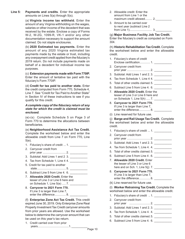**Line 5: Payments and credits**. Enter the appropriate amounts on Lines 5(a) through 5(s).

> (a) **Virginia income tax withheld.** Enter the amount of any Virginia withholding on the wages, salaries or other income of the decedent that was received by the estate. Enclose a copy of Forms W-2, W-2G, 1099-R, VK-1 and/or any other documentation necessary to support the amount claimed. Do not staple enclosures.

> (b) **2020 Estimated tax payments.** Enter the amount of any 2020 Virginia estimated tax payments made by the estate or trust, including any overpayment credit applied from the fiduciary's 2019 return. Do not include payments made on behalf of a decedent for individual income tax purposes.

> (c) **Extension payments made with Form 770IP.** Enter the amount of tentative tax paid with the fiduciary's Form 770IP.

> (d) **Credit for tax paid to another state.** Enter the credit computed from Form 770, Schedule 4, Line 7. See "Credit for Tax Paid to Another State" in Section IV of these instructions to see if you qualify for this credit.

#### *A complete copy of the fiduciary return of any state for which the credit is claimed must be enclosed.*

(e)-(s) Complete Schedule 5 on Page 3 of Form 770 to determine the allocations between beneficiaries.

(e) **Neighborhood Assistance Act Tax Credit.** Complete the worksheet below and enter the allowable credit from Line 7 on Form 770, Line 5(e).

- 1. Fiduciary's share of credit ... 1.
- 2. Carryover credit from prior year ............................. 2. \_\_\_\_\_\_\_\_\_\_\_
- 3. Subtotal: Add Lines 1 and 2 3. \_\_\_\_\_\_\_\_\_\_\_
- 4. Tax from Schedule 1, Line 4 4. \_\_\_\_\_\_\_\_\_\_\_
- 5. Credit for tax paid to another state.................................... 5. \_\_\_\_\_\_\_\_\_\_\_
- 6. Subtract Line 5 from Line 4. 6.
- 7. **Allowable 2020 Credit.** Enter the lesser of Line 3 or Line 6 here and on Schedule 1, Line 5(e) ..... 7. \_\_\_\_\_\_
- 8. **Carryover to 2021 Form 770.**  If Line 3 is larger than Line 7, enter the difference............... 8.

(f) **Enterprise Zone Act Tax Credit.** This credit expired June 30, 2019. Only Enterprise Zone Real Property Investment Tax Credit carryover amounts from prior years are allowed. Use the worksheet below to determine the carryover amount that can be used on this year's tax return.

1. Credit carried over from prior years.......................................1.\_\_\_\_\_\_\_\_\_\_

- 2. Allowable credit: Enter the amount from Line 1 or the maximum credit allowed.......... 2.
- 3. Amount to be carried over to next year (subtract Line 2 from Line 1)............................ 3.\_\_\_\_\_\_\_\_\_\_

#### (g) **Major Business Facility Job Tax Credit.**

Enter the fiduciary's credit as computed on Form 304.

(h) **Historic Rehabilitation Tax Credit.** Complete the worksheet below and enter the allowable credit.

- 1. Fiduciary's share of credit Enclose certification............. 1. \_\_\_\_\_\_\_\_\_\_\_
- 2. Carryover credit from prior year ............................. 2. \_\_\_\_\_\_\_\_\_\_\_
- 3. Subtotal: Add Lines 1 and 2. 3. \_\_\_\_\_\_\_\_\_\_\_
- 4. Tax from Schedule 1, Line 4 4.
- 5. Total of other credits claimed.5. \_\_\_\_\_\_\_\_\_\_\_\_\_\_
- 6. Subtract Line 5 from Line 4. 6.
- 7. **Allowable 2020 Credit.** Enter the lesser of Line 3 or Line 6 here and on Schedule 1, Line  $5(h)$  ..... 7.
- 8. **Carryover to 2021 Form 770.**  If Line 3 is larger than Line 7, enter the difference................8.
- (i) Line reserved for future use.

(j) **Barge and Rail Usage Tax Credit.** Complete the worksheet below and enter the allowable credit.

- 1. Fiduciary's share of credit ... 1. \_\_\_\_\_\_\_\_\_\_\_\_\_
- 2. Carryover credit from prior year ............................. 2. \_\_\_\_\_\_\_\_\_\_\_
- 3. Subtotal: Add Lines 1 and 2. 3. \_\_\_\_\_\_\_\_\_\_\_
- 4. Tax from Schedule 1, Line 4. 4. \_\_\_\_\_\_\_\_\_\_\_
- 5. Total of other credits claimed. 5.
- 6. Subtract Line 5 from Line 4 . 6.
- 7. **Allowable 2020 Credit.** Enter the lesser of Line 3 or Line 6 here and on Sch. 1, Line 5(j) 7. \_\_\_\_\_\_\_\_\_\_\_
- 8. **Carryover to 2021 Form 770.**  If Line 3 is larger than Line 7, enter the difference...............8.
- (k) Line reserved for future use.

(l) **Worker Retraining Tax Credit.** Complete the worksheet below and enter the allowable credit.

- 1. Fiduciary's share of credit .. 1.
- 2. Carryover credit from prior year .......................... 2. \_\_\_\_\_\_\_\_\_\_\_
- 3. Subtotal: Add Lines 1 and 2. 3. \_\_\_\_\_\_\_\_\_\_\_
- 4. Tax from Schedule 1, Line 4. 4. \_\_\_\_\_\_\_\_\_\_\_
- 5. Total of other credits claimed.5. \_\_\_\_\_\_\_\_\_\_\_
- 6. Subtract Line 5 from Line 4. 6. \_\_\_\_\_\_\_\_\_\_\_\_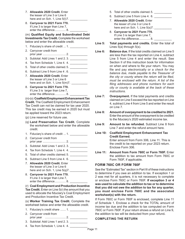- 7. **Allowable 2020 Credit.** Enter the lesser of Line 3 or Line 6 here and on Sch. 1, Line  $5(1)7$ .
- 8. **Carryover to 2021 Form 770.**  If Line 3 is larger than Line 7, enter the difference...............8.

(m) **Qualified Equity and Subordinated Debt Investments Tax Credit.** Complete the worksheet below and enter the allowable credit.

- 1. Fiduciary's share of credit ... 1. \_\_\_\_\_\_\_\_\_
- 2. Carryover credit from prior year ............................. 2. \_\_\_\_\_\_\_\_\_\_\_
- 3. Subtotal: Add Lines 1 and 2. 3. \_\_\_\_\_\_\_\_\_\_\_
- 4. Tax from Schedule 1, Line 4. 4. \_\_\_\_\_\_\_\_\_\_\_
- 5. Total of other credits claimed.5. \_\_\_\_\_\_\_\_\_\_\_\_
- 6. Subtract Line 5 from Line 4 . 6. 7. **Allowable 2020 Credit.** Enter the lesser of Line 3 or Line 6 here and on Sch. 1, Line 5(m)7. \_\_\_\_\_\_\_\_\_\_\_
- 8. **Carryover to 2021 Form 770.**  If Line 3 is larger than Line 7, enter the difference............... 8.

(n)-(o) **Coalfield Employment Enhancement Tax Credit.** The Coalfield Employment Enhancement Tax Credit can not be claimed for tax year 2020. This tax credit may be earned in 2020 but must be applied toward the 2023 return.

- (p) Line reserved for future use.
- (q) **Land Preservation Tax Credit.** Complete the worksheet below and enter the allowable credit.
- 1. Fiduciary's share of credit ... 1. \_\_\_\_\_\_\_\_\_\_\_\_\_
- 2. Carryover credit from prior year ............................. 2. \_\_\_\_\_\_\_\_\_\_\_
- 3. Subtotal: Add Lines 1 and 2. 3. \_\_\_\_\_\_\_\_\_\_\_
- 4. Tax from Schedule 1, Line 4. 4.
- 5. Total of other credits claimed.5. \_\_\_\_\_\_\_\_\_\_
- 6. Subtract Line 5 from Line 4. 6.
- 7. **Allowable 2020 Credit.** Enter the lesser of Line 3 or Line 6 here and on Sch. 1, Line 5(q)7. \_\_\_\_\_\_\_\_\_\_\_
- 8. **Carryover to 2021 Form 770.**  If Line 3 is larger than Line 7, enter the difference............... 8.

(r) **Coal Employment and Production Incentive Tax Credit.** Enter on Line 5(r) the amount that you used to allocate the fiduciary's Coal Employment and Production Incentive Tax Credit.

(s) **Worker Training Tax Credit.** Complete the worksheet below and enter the allowable credit.

- 1. Fiduciary's credit share ....... 1. \_\_\_\_\_\_\_\_\_\_\_
- 2. Carryover credit from prior year .......................... 2. \_\_\_\_\_\_\_\_\_\_\_
- 3. Subtotal: Add Lines 1 and 2. 3. \_\_\_\_\_\_\_\_\_\_\_
- 4. Tax from Schedule 1, Line 4. 4.
- 5. Total of other credits claimed.5. \_\_\_\_\_\_\_\_\_\_\_\_\_
- 6. Subtract Line 5 from Line 4. 6.
- 7. **Allowable 2020 Credit.** Enter the lesser of Line 3 or Line 6 here and on Sch. 1, Line  $5(s)7$ .
- 8. **Carryover to 2021 Form 770.**  If Line 3 is larger than Line 7, enter the difference............... 8.
- **Line 5: Total payments and credits.** Enter the total of Lines 5(a) through 5(s).
- **Line 6: Balance due.** If the total credits claimed on Line 5 are less than the tax reported on Line 4, subtract Line 5 from Line 4 and enter the result. See Section II of this instruction book for information on when and where to file your return. You may file and pay electronically or a *check for the balance due, made payable to the Treasurer of the city or county where the return will be filed, must be enclosed with the return. A list of the filing addresses and phone numbers for each city or county is available at the back of these instructions.*
- **Line 7: Overpayment.** If the total payments and credits claimed on Line 5 exceed the tax reported on Line 4, subtract Line 4 from Line 5 and enter the result on Line 7.
- **Line 8: Amount of overpayment to be credited to 2021.**  Enter the amount of the overpayment to be credited to the fiduciary's 2020 estimated income tax.
- **Line 9: Amount to be refunded.** Subtract Line 8 from Line 7 and enter the refund amount here.
- **Line 10: Coalfield Employment Enhancement Tax Credit Earned.**  Enter amount from Form 306, Line 11. This is the credit to be reported on your 2023 return. Enclose Form 306.
- **Line 11: Amount from Form 760C or Form 760F.** Enter the addition to tax amount from Form 760C or Form 760F, if applicable.

#### **FORM 760C OR FORM 760F**

See the "Estimated Tax" section in Part III of these instructions to determine if you owe an addition to tax. If exception 1 or 2 was met for all quarters, it is not necessary to complete or enclose Form 760C or Form 760F. **If exception 3 or 4 was used to calculate the addition to tax or to determine that you did not owe the addition to tax for any quarter, you must enclose Form 760C and the associated worksheet(s) with the return.**

If Form 760C or Form 760F is enclosed, complete Line 11 of Schedule 1. Enclose a check for the TOTAL amount of income tax due and the addition to tax computed on Form 760C or Form 760F. If your return shows a refund on Line 9, the addition to tax will be deducted from your refund**.**

#### **COMPLETING THE RETURN**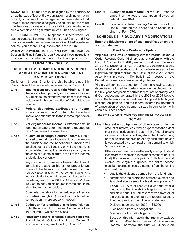**SIGNATURE:** The return must be signed by the fiduciary or an authorized officer of the organization receiving or having custody or control of the management of the estate or trust. If two or more individuals act jointly as fiduciaries, the return may be signed by any one of those individuals. You have not filed a complete or legal return unless it has been signed.

**TELEPHONE NUMBERS:** Telephone numbers where you can be contacted between the hours of 8:30 a.m. and 5:00 p.m. are requested so that a representative of the Department can call you if there is a question about the return.

**WHEN AND WHERE TO FILE AND PAY THE TAX:** See Section III, Filing Information, on Page 2 of these instructions for information on when and where to file and pay the tax.

#### **FORM 770 - PAGE 2**

#### **SCHEDULE 2 - COMPUTATION OF VIRGINIA TAXABLE INCOME OF A NONRESIDENT ESTATE OR TRUST**

On Lines 1 through 3, enter the distributable amount in Column A and the nondistributable amount in Column B.

- **Line 1: Income from sources within Virginia.** Enter the income from property or businesses located in Virginia to the extent that the item of income is includable in the computation of federal taxable income.
- **Line 2: Federal deductions attributable to income from sources within Virginia.** Enter the federal deductions attributable to the income reported on Line 1 above.
- **Line 3:** Net Virginia source income. Subtract the amount reported on Line 2 from the income reported on Line 1 and enter the result here.
- **Line 4: Allocation of Virginia source income.** Line 4 is used to report the allocation of income among the fiduciary and the beneficiaries. Income will be allocated to the fiduciary only if the income is accumulated during the taxable year and, as in the case of a complex trust, not all of the income is distributed currently.

Virginia source income must be allocated to each beneficiary based on his or her proportionate share of the federal distributable net income. For example, if 50% of the estate's or trust's federal distributable net income is allocated to a beneficiary from Form 1041 or Schedule K-1, then 50% of the net Virginia source income should be allocated to that beneficiary.

Complete the allocation schedule provided on Lines 4(a) through 4(c) or enclose a schedule of computation if more space is needed.

- **Line 5: Deduction for distributions to beneficiaries.**  Enter the amount from Line 4a, Column 4 or Line 4a, Column 2, whichever is less.
- **Line 6: Fiduciary's share of Virginia source income.**  Sum of Line 4b, Column 4 or Line 4b, Column 2, whichever is less, plus Line 4b, Column 5.
- **Line 7: Exemption from federal Form 1041.** Enter the amount of the federal exemption allowed on federal Form 1041.
- **Line 8: Income taxable to fiduciary.** Subtract Line 7 from Line 6. Enter the result here and on Schedule 1, Line 1 of Form 770.

#### **SCHEDULE 3 - FIDUCIARY'S MODIFICATIONS**

**Enter the fiduciary's share of each modification on the appropriate line.** 

#### **Fixed Date Conformity Update**

**Virginia's Fixed Date Conformity with the Internal Revenue Code:** Revenue Code: Virginia's date of conformity with the Internal Revenue Code (IRC) was advanced from December 31, 2018 to December 31, 2019, subject to certain exceptions. Additional information about conformity adjustments and other legislative changes required as a result of the 2020 General Assembly is provided in Tax Bulletin 20-1 posted on the Department's website at **www.tax.virginia.gov**.

Virginia will continue to deconform from the following: bonus depreciation allowed for certain assets under federal law; the five-year carryback of certain federal net operating loss (NOL) deductions generated in the 2008 or 2009 taxable years; the federal income treatment of applicable high yield discount obligations; and the federal income tax treatment of cancellation of debt income realized in connection with certain business debts.

#### **PART I - ADDITIONS TO FEDERAL TAXABLE INCOME**

**Line 1:Interest on obligations of other states.** Enter the amount of interest, less related expenses to the extent that it was not deducted in determining federal taxable income, on obligations of any state other than Virginia, or of a political subdivision of any such state unless it was created by a compact or agreement to which Virginia is a party.

> If the estate or trust received federally exempt dividend income from a regulated investment company (mutual fund) that invested in obligations both taxable and exempt for Virginia purposes, the entire income must be reported unless a statement from the fund is enclosed that:

- details the dividends earned from the fund; and
- summarizes the prorations between exempt and taxable dividends (monthly breakdown preferred).

 **EXAMPLE:** A trust receives dividends from a mutual fund that invests in obligations of Virginia and New York. The interest received from all of the obligations is exempt from federal taxation. The fund provides the following statement:

Dividend payments for 2020 \$4,000 % of income from NY obligations 60% % of income from VA obligations 40% Based on this information, the trust may exclude 40% or \$1,600 of the income from Virginia taxable income. Therefore, the trust would make an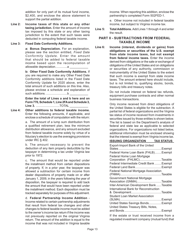addition for only part of its mutual fund income, \$2,400, and enclose the above statement to support the partial addition.

**Line 2: Income taxes of this state or any other taxing jurisdiction.** Enter the amount of income tax imposed by this state or any other taxing jurisdiction to the extent that such taxes were deducted in computing federal taxable income.

#### **Line 3: Fixed Date Conformity Additions.**

 **a: Bonus Depreciation.** For an explanation, please see the section entitled, *Fixed Date Conformity Update*. Enter the amount that should be added to federal taxable income based upon the recomputation of allowable depreciation...............a

 **b: Other Fixed Date Conformity Additions.** If you are required to make any Other Fixed Date Conformity additions listed in the Fixed Date Conformity Update for 2020 above, enter the total amount of such additions on this line. Also, please enclose a schedule and explanation of such additions. .........................b \_\_\_\_\_\_\_\_\_\_\_

 **Enter the total of Lines a and b here and on Form 770, Schedule 1, Line 2FA and Schedule 3, Line 3.** ............................TOTAL \_\_\_\_\_\_\_\_\_\_\_

**Line 4: Other additions to federal taxable income.**  Enter the following amounts, if applicable, and enclose a schedule of computation with the return:

> a. The amount of a lump sum distribution from a qualified retirement plan, less the minimum distribution allowance, and any amount excluded from federal taxable income solely by virtue of a fiduciary's election to use the averaging provisions under IRC § 402.

> b. The amount necessary to prevent the deduction of any item properly deductible by the taxpayer in determining a tax under Virginia law prior to 1972.

> c. The amount that would be reported under the installment method from certain dispositions of property. If, in a prior year, the taxpayer was allowed a subtraction for certain income from dealer dispositions of property made on or after January 1, 2009, in the years following the year of disposition, the taxpayer is required to add back the amount that would have been reported under the installment method. Each disposition must be tracked separately for purposes of this adjustment.

> d. **Federal Partnership Income Addition** - Income related to certain partnership adjustments that result from federal tax changes and other changes to federal taxable income must be added to the owner's income tax return if the income was not previously reported on the original Virginia return. The amount of the addition is equal to the income that was not included in Virginia taxable

income. When reporting this addition, enclose the partnership's completed Form 502FED-1.

e. Other income not included in federal taxable income, but subject to Virginia income tax.

**Line 5: Total Additions.** Add Lines 1 through 4 and enter the result.

#### **PART II - SUBTRACTIONS FROM FEDERAL TAXABLE INCOME**

**Line 6: Income (interest, dividends or gains) from obligations or securities of the U.S. exempt from state income taxes, but not exempt from federal income taxes.** Enter the income derived from obligations or the sale or exchange of obligations of the United States and on obligations or securities of any authority, commission or instrumentality of the United States to the extent that such income is exempt from state income taxes. The amount entered here should include, but is not limited to, qualifying stocks, bonds, treasury bills and treasury notes.

> Do not include interest on federal tax refunds, equipment purchase contracts and other normal business transactions.

> Only income received from direct obligations of the United States is eligible for the subtraction. A partial list of federal organizations and the Virginia tax status of income received from investments in securities issued by those entities is shown below. The list is based on the Department's analysis of federal and state law as applicable to selected organizations. For organizations not listed below, additional information must be enclosed showing that the interest is exempt from Virginia income tax.

#### **ISSUING ORGANIZATION TAX STATUS**

| Export-Import Bank of the United             |  |
|----------------------------------------------|--|
|                                              |  |
| Federal Home Loan Bank (FHLB) Exempt         |  |
| Federal Home Loan Mortgage                   |  |
| Corporation (FHLMC)Taxable                   |  |
| Federal Intermediate Credit Bank  Exempt     |  |
|                                              |  |
| <b>Federal National Mortgage Association</b> |  |
|                                              |  |
| Government National Mortgage                 |  |
| Association (GNMA)Taxable                    |  |
| Inter-American Development Bank Taxable      |  |
| International Bank for Reconstruction        |  |
|                                              |  |
| Student Loan Market Association              |  |
|                                              |  |
| United States Savings BondsExempt            |  |
| United States Treasury Bills, Notes,         |  |
|                                              |  |
|                                              |  |

If the estate or trust received income from a regulated investment company (mutual fund) that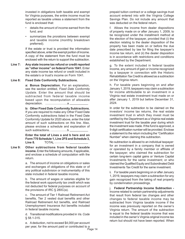invested in obligations both taxable and exempt for Virginia purposes, the entire income must be reported as taxable unless a statement from the fund is enclosed that:

- details the amount of income earned from the fund; and
- summarizes the prorations between exempt and taxable income (monthly breakdown preferred).

If the estate or trust is provided the information specified above, enter the exempt portion of income. A copy of the statement from the fund must be enclosed with the return to support the subtraction.

**Line 7: Any state income tax refund or credit reported as "other income" on federal Form 1041.** Enter any state income tax refund or credit included in the estate's or trust's income on Form 1041.

#### **Line 8: Fixed Date Conformity Subtractions.**

 **a: Bonus Depreciation.** For an explanation, see the section entitled, *Fixed Date Conformity Update*. Enter the amount that should be subtracted from federal taxable income based upon the recomputation of allowable depreciation. ..........................a \_\_\_\_\_\_\_\_\_\_\_

 **b: Other Fixed Date Conformity Subtractions.** If you are required to make any Other Fixed Date Conformity subtractions listed in the Fixed Date Conformity Update for 2020 above, enter the total amount of such subtractions on this line. Also, please enclose a schedule and explanation of such subtractions.. ..........................b

 **Enter the total of Lines a and b here and on Form 770 Schedule 1, Line 2FS and Schedule 3, Line 8.** TOTAL ..................

**Line 9: Other subtractions from federal taxable income.** Enter the following amounts, if applicable, and enclose a schedule of computation with the return.

> a. The amount of income on obligations or sales and exchanges of obligations of this state or of any political subdivision or instrumentality of this state included in federal taxable income.

> b. The amount of wages or salaries eligible for the federal work opportunity tax credit which was not deducted for federal purposes on account of the provisions of IRC § 280C(a).

> c. The amount of Tier 1 Railroad Retirement Act benefits, Tier 2 vested dual benefits and other Railroad Retirement Act benefits, and Railroad Unemployment Insurance Act benefits included in federal taxable income.

> d. Transitional modifications provided in *Va. Code*  § 58.1‑315.

e. A deduction, not to exceed \$4,000 per account per year, for the amount paid or contributed to a

prepaid tuition contract or a college savings trust account entered into with the Virginia College Savings Plan. Do not include any amount that was deducted on the federal return.

f. Allows the income from dealer dispositions of property made on or after January 1, 2009, to be recognized under the installment method at the election of the taxpayer, provided that (i) the election relating to the dealer disposition of the property has been made on or before the due date prescribed by law for filing the taxpayer's income tax return, and (ii) the dealer disposition is in accordance with restrictions and conditions established by the Department.

g. To the extent included in federal taxable income, any amount of gain or income recognized by a taxpayer in connection with the Historic Rehabilitation Tax Credit is allowed as a subtraction on the Virginia return.

 h. For taxable years beginning on and after January 1, 2019, taxpayers may claim a subtraction for income attributable to an investment in a Virginia real estate investment trust made on or after January 1, 2019 but before December 31, 2024.

In order for the subtraction to be claimed on the investors' income tax returns, the real estate investment trust in which they invest must be certified by the Department as a Virginia real estate investment trust for the taxable year during which the investment was made. If the fund is approved, a 9-digit certification number will be provided. Enclose a statement to the return including the "Certification Number" when claiming this subtraction.

 No subtraction is allowed to an individual taxpayer: for an investment in a company that is owned or operated by a family member or affiliate of the taxpayer; who claimed the subtraction for certain long-term capital gains or Venture Capital Investments for the same investment; or who claimed the Qualified Equity and Subordinated Debt Investments Tax Credit for the same investment.

**i.** For taxable years beginning on or after January 1, 2019, taxpayers may claim a subtraction for any gain recognized from the taking of real property by condemnation proceedings.

j. **Federal Partnership Income Subtraction -**  Income related to certain partnership adjustments that result from federal tax changes and other changes to federal taxable income may be subtracted from Virginia taxable income if the income was previously reported on the owner's Virginia return. The amount of the subtraction is equal to the federal taxable income that was included in the owner's Virginia original income tax return but should not have been reported. When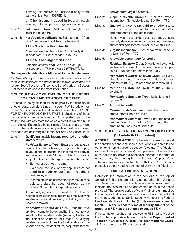claiming this subtraction, include a copy of the partnership's Form 502FED-1.

k. Other income included in federal taxable income, but exempt from Virginia income tax.

- **Line 10: Total subtractions.** Add Lines 6 through 9 and enter the total here.
- **Line 11: Net Virginia modifications.** Subtract Line 10 from Line 5 and enter the difference here and

#### **If Line 5 is larger than Line 10,**

 *Enter the amount from Line 11 on Line 2(a) of Schedule 1. This is a net ADDITION.*

#### **If Line 5 is not larger than Line 10,**

 *Enter the amount from Line 11 on Line 2(b) of Schedule 1. This is a net SUBTRACTION.*

#### **Net Virginia Modifications Allocated to the Beneficiaries**

*Each beneficiary must be provided a statement of income and modifications for use in completing the individual income tax return.* See "Allocation of Income to Beneficiaries" in Section II of these instructions for more information.

#### **SCHEDULE 4 - COMPUTATION OF THE CREDIT FOR TAX PAID TO ANOTHER STATE**

If a credit is being claimed for taxes paid by the fiduciary to another state, complete Lines 1 through 7 of Schedule 4 on Form 770 to compute the allowable credit. See "CREDIT FOR TAX PAID TO ANOTHER STATE" in Section IV of these instructions for more information. A complete copy of the return filed with any state for which a credit is claimed must be enclosed. If a credit is being claimed for taxes paid to more than 1 other state, a separate computation must be enclosed for each state (following the format of Form 770, Schedule 4).

#### **Line 1: Qualifying taxable income reported on another state's return.**

*Resident Estate or Trust:* Enter the total taxable income from the following categories that apply to you, to the extent that the income was derived from sources outside Virginia and the income was subject to tax by both Virginia and another state:

- Earned or business income;
- Gain from the sale of any capital asset not used in a trade or business, including a residence; and
- Income on which corporation income tax was paid to a state that does not recognize the federal Schedule S Corporation election.

If nonqualifying income is included in the taxable income of the other state, recompute the qualifying taxable income and qualifying tax liability with that income removed.

*Nonresident Estate or Trust:* Enter the total taxable income to the extent that the income was taxed by the resident state (Arizona, California, the District of Columbia, or Oregon). Qualifying taxable income includes the total taxable income reported on the resident return, not just the income

derived from Virginia sources.

- **Line 2: Virginia taxable income.** Enter the taxable income from Schedule 1, Line 3 of Form 770.
- **Line 3: Qualifying income tax paid to another state.**  Enter the income tax paid to another state. Also enter the name of the other state.

Note: If you are a resident estate or trust, ensure that only state income tax paid on earned, business, and capital gain income is included on this line.

- **Line 4: Virginia income tax.** Enter the tax from Schedule 1, Line 4 of Form 770.
- **Line 5: Allowable percentage for credit.**

 *Resident Estate or Trust:* Divide Line 1 by Line 2, and enter the result to 1 decimal place (example: 10.5%). Do not enter more than 100%.

 *Nonresident Estate or Trust:* Divide Line 2 by Line 1, and enter the result to 1 decimal place (example: 10.5%). Do not enter more than 100%.

**Line 6:** *Resident Estate or Trust:* Multiply Line 5 by Line 4.

> *Nonresident Estate or Trust:* Multiply Line 5 by Line 3.

#### **Line 7: Allowable credit.**

*Resident Estate or Trust:* Enter the smaller amount from Line 3 or Line 6.

 *Nonresident Estate or Trust:* Enter the smaller amount from Line 4 or Line 6. Also enter this amount on Line 5(d) of Schedule 1.

#### **SCHEDULE 5 - BENEFICIARY'S INFORMATION (Schedule K-1 Equivalent)**

**GENERAL INFORMATION:** Schedule 5 is used to report the beneficiary's share of income, deductions, and credits and other items from a trust or a decedent's estate. The fiduciary (or one of the joint fiduciaries) must prepare Schedule 5 for each beneficiary having a beneficial interest in the trust or estate at any time during the taxable year. Copies of the schedule are required to be filed with Form 770. A copy must also be provided to each beneficiary by the fiduciary.

#### **LINE BY LINE INSTRUCTIONS**

Complete the information in the sections at the top of Schedule 5. If the return is for a period other than January 1 to December 31 of the taxable year shown on your return, indicate the fiscal beginning and ending dates in the space provided. The taxable period of your Virginia return must be the same as that of your federal return. It is important that the names, addresses, Social Security Number and Federal Employer Identification Number (FEIN) are entered correctly. **Do NOT use the decedent's social security number or the preparer's FEIN as the estate's or trust's FEIN.**

If the estate or trust has not received its FEIN, write "Applied For" in the appropriate box and notify the **Department of Taxation** in writing at **P. O. Box 1115, Richmond, VA 23218- 1115** as soon as the FEIN is received.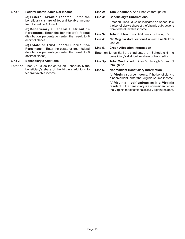#### **Line 1: Federal Distributable Net Income**

(a) **Federal Taxable Income.** Enter the beneficiary's share of federal taxable income from Schedule 1, Line 1.

(b) **Beneficiary's Federal Distribution Percentage.** Enter the beneficiary's federal distribution percentage (enter the result to 6 decimal places).

 **(c) Estate or Trust Federal Distribution Percentage.** Enter the estate or trust federal distribution percentage (enter the result to 6 decimal places).

#### **Line 2: Beneficiary's Additions**

Enter on Lines 2a-2d as indicated on Schedule 5 the beneficiary's share of the Virginia additions to federal taxable income.

**Line 2e Total Additions.** Add Lines 2a through 2d.

#### **Line 3: Beneficiary's Subtractions**

Enter on Lines 3a-3d as indicated on Schedule 5 the beneficiary's share of the Virginia subtractions from federal taxable income.

- **Line 3e Total Subtractions.** Add Lines 3a through 3d.
- **Line 4: Net Virginia Modifications** Subtract Line 3e from Line 2e.

#### **Line 5. Credit Allocation Information**

- Enter on Lines 5a-5o as indicated on Schedule 5 the beneficiary's distributive share of tax credits.
- **Line 5p Total Credits.** Add Lines 5b through 5h and 5l through 5o.

#### **Line 6. Nonresident Beneficiary Information**

(a) **Virginia source income.** If the beneficiary is a nonresident, enter the Virginia source income.

(b) **Virginia modifications as if a Virginia resident.** If the beneficiary is a nonresident, enter the Virginia modifications as if a Virginia resident.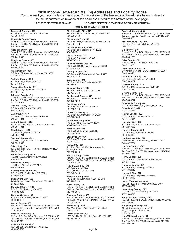#### **2020 Income Tax Return Mailing Addresses and Locality Codes**

You may mail your income tax return to your Commissioner of the Revenue at the address below or directly to the Department of Taxation at the addresses listed at the bottom of the next page.

**\* DENOTES DIRECTOR OF FINANCE** \*\* **DENOTES DIRECTOR, DEPARTMENT OF TAX ADMINISTRATION**

#### **Accomack County – 001**

P.O. Box 186, Accomac, VA 23301-0186 757-787-5747

**Albemarle County \* - 003**  Refund: P.O. Box 1498, Richmond, VA 23218-1498 Tax Due: P.O. Box 760, Richmond, VA 23218-0760 434-296-5851

**Alexandria City\* - 510**  Refund: P.O. Box 1498, Richmond, VA 23218-1498 Tax Due: P.O. Box 760, Richmond, VA 23218-0760 703-746-3909

**Alleghany County - 005**  Refund: P.O. Box 1498, Richmond, VA 23218-1498 Tax Due: P.O. Box 760, Richmond, VA 23218-0760 540-863-6640

**Amelia County - 007**  P.O. Box 269, Amelia Court House, VA 23002 804-561-2158

**Amherst County - 009**<br>P.O. Box 719, Amherst, VA 24521 434-946-9310

**Appomattox County - 011**  P.O. Box 125, Appomattox, VA 24522 434-352-7450

**Arlington County - 013**  Refund: P.O. Box 1498, Richmond, VA 23218-1498 Tax Due: P.O. Box 760, Richmond, VA 23218-0760 703-228-4017

**Augusta County - 015**  P.O. Box 959, Verona, VA 24482 540-245-5640

**Bath County - 017**  P.O. Box 130, Warm Springs, VA 24484 540-839-7231

**Bedford County - 019**<br>122 E. Main St., Suite 103, Bedford, VA 24523 540-586-7621

**Bland County - 021**<br>P.O. Box 130, Bland, VA 24315 276-688-4291

**Botetourt County - 023**  P.O. Box 128, Fincastle, VA 24090-0128 540-928-2050

**Bristol City - 520**  497 Cumberland St., Room 101, Bristol, VA 24201 276-645-7316

**Brunswick County - 025**  P.O. Box 669, Lawrenceville, VA 23868 434-848-2313

**Buchanan County - 027**  P.O. Box 1042, Grundy, VA 24614 276-935-6542

**Buckingham County - 029**  P.O. Box 138, Buckingham, VA 23921 434-969-4972

**Buena Vista City - 530**  2039 Sycamore Ave., Buena Vista, VA 24416 540-261-8610

**Campbell County - 031**  P.O. Box 66, Rustburg, VA 24588 434-332-9518

**Caroline County - 033**  P.O. Box 819, Bowling Green, VA 22427 804-633-4059

**Carroll County - 035**  Refund: P.O. Box 1498, Richmond, VA 23218-1498 Tax Due: P.O. Box 760, Richmond, VA 23218-0760 276-730-3080

**Charles City County - 036**  Refund: P.O. Box 1498, Richmond, VA 23218-1498 Tax Due: P.O. Box 760, Richmond, VA 23218-0760 804-652-2161

**Charlotte County - 037**  P.O. Box 308, Charlotte C.H., VA 23923 434-542-5546

**COUNTIES AND CITIES**

**Charlottesville City - 540**  P.O. Box 2964, Charlottesville, VA 22902-2964 434-970-3160

**Chesapeake City - 550**  P.O. Box 15285, Chesapeake, VA 23328-5285 757-382-6736

**Chesterfield County - 041**  P.O. Box 124, Chesterfield, VA 23832 804-748-1281

**Clarke County - 043**  P.O. Box 67, Berryville, VA 22611 540-955-5108

**Colonial Heights City - 570**  P.O. Box 3401, Colonial Heights, VA 23834 804-520-9280

**Covington City - 580**  P.O. Drawer 58, Covington, VA 24426-0058 540-965-6350

**Craig County - 045**  P.O. Box 186, New Castle, VA 24127 540-864-6241

**Culpeper County - 047**  P.O. Box 1807, Culpeper, VA 22701 540-727-3443

**Cumberland County - 049**  P.O. Box 77, Cumberland, VA 23040 804-492-4280

**Danville City - 590**  P.O. Box 480, Danville, VA 24543 434-799-5145

**Dickenson County - 051**  P.O. Box 1067, Clintwood, VA 24228 276-926-1646

**Dinwiddie County - 053**  P.O. Box 104, Dinwiddie, VA 23841 804-469-4500, Ext. 4

**Emporia City - 595**<br>P.O. Box 956. Emporia, VA 23847 434-634-5405

**Essex County - 057**  P.O. Box 879, Tappahannock, VA 22560 804-443-4737

**Fairfax City - 600**  Rm. 224, City Hall, 10455 Armstrong St. Fairfax, VA 22030 703-385-7880

**Fairfax County \*\* - 059**  Refund: P.O. Box 1498, Richmond, VA 23218-1498 Tax Due: P.O. Box 760, Richmond, VA 23218-0760 703-324-4215

**Falls Church City - 610**  300 Park Ave., # 202W Falls Church, VA 22046-3301 703-248-5450

**Fauquier County - 061**  P.O. Box 149, Warrenton, VA 20188-0149 540-422-8163

**Floyd County - 063**  Refund: P.O. Box 1498, Richmond, VA 23218-1498 Tax Due: P.O. Box 760, Richmond, VA 23218-0760

540-745-9345 **Fluvanna County - 065**  Refund: P.O. Box 1498, Richmond, VA 23218-1498 Tax Due: P.O. Box 760, Richmond, VA 23218-0760 434-591-1940

**Franklin City - 620**  207 West Second Ave., Franklin, VA 23851 757-562-1157

**Franklin County - 067**  1255 Franklin St., Ste. 102, Rocky Mt., VA 24151 540-483-6650

#### **Frederick County - 069**

Refund: P.O. Box 1498, Richmond, VA 23218-1498 Tax Due: P.O. Box 760, Richmond, VA 23218-0760 540-665-5681

**Fredericksburg City - 630**  P.O. Box 644, Fredericksburg, VA 22404 540-372-1004

**Galax City\* - 640**<br>Refund: P.O. Box 1498, Richmond, VA 23218-1498 Tax Due: P.O. Box 760, Richmond, VA 23218-0760 276-236-2528

**Giles County - 071**  130 N. Main St., Pearisburg, VA 24134 540-921-3321

**Gloucester County - 073**  6489 Main St., Suite 137, Gloucester, VA 23061 804-693-3451

**Goochland County - 075**  P.O. Box 60, Goochland, VA 23063 804-556-5807

**Grayson County - 077**<br>P.O. Box 126, Independence, VA 24348 276-773-2381

**Greene County - 079**  Refund: P.O. Box 1498, Richmond, VA 23218-1498 Tax Due: P.O. Box 760, Richmond, VA 23218-0760 434-985-5211

**Greensville County - 081**  1781 Greensville County Circle, Room 132, Emporia, VA 23847 434-348-4227

**Halifax County - 083**  P.O. Box 1847, Halifax, VA 24558 434-476-3314

**Hampton City - 650**  P.O. Box 636, Hampton, VA 23669-0636 757-727-6690

**Hanover County - 085**<br>P.O. Box 129, Hanover, VA 23069 804-365-6129

**Harrisonburg City - 660**  409 S Main St., Harrisonburg, VA 22801-3610 540-432-7704

**Henrico County \* - 087**  Refund: P.O. Box 1498, Richmond, VA 23218-1498 Tax Due: P.O. Box 760, Richmond, VA 23218-0760 804-501-4263

**Henry County - 089**<br>P.O. Box 1077, Collinsville, VA 24078-1077 276-634-4690

**Highland County - 091**  P.O. Box 148, Monterey, VA 24465 540-468-2142

**Hopewell City - 670**<br>P.O. Box 1604, Hopewell, VA 23860 804-541-2237

**Isle of Wight County - 093**<br>P.O. Box 107, Isle of Wight, VA 23397-0107 757-365-6222

**James City County - 095**  P.O. Box 283, Williamsburg, VA 23187 757-253-6695

**King and Queen County - 097**  P.O. Box 178, King & Queen Courthouse, VA 23085 804-785-5976

**King George County - 099**  10459 Courthouse Dr., Suite 101, King George, VA 22485-3865 540-775-4664

**King William County - 101**  Refund: P.O. Box 1498, Richmond, VA 23218-1498 Tax Due: P.O. Box 760, Richmond, VA 23218-0760 804-769-4941